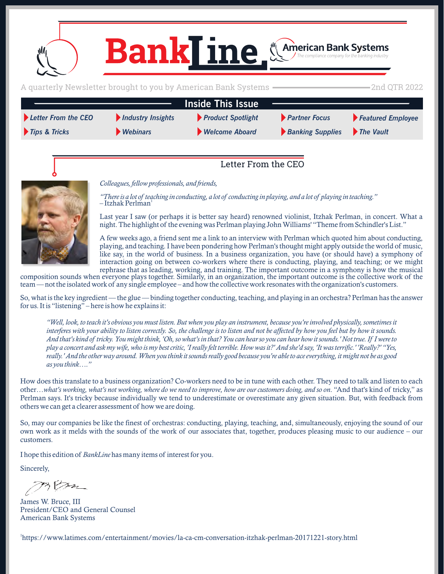<span id="page-0-0"></span>

*[Webinars](#page-4-0)*

*[Tips & Tricks](#page-3-0) [Welcome Aboard](#page-5-0) [The Vault](#page-5-0) [Banking Supplies](#page-5-0) [Product Spotlight](#page-1-0)*

# *[Partner Focus](#page-2-0)*

*[Featured Employee](#page-3-0)*

### Letter From the CEO

*Colleagues, fellow professionals, and friends,*

*"There is a lot of teaching in conducting, a lot of conducting in playing, and a lot of playing in teaching."*   $-I$ tzhak Perlman<sup>1</sup>

Last year I saw (or perhaps it is better say heard) renowned violinist, Itzhak Perlman, in concert. What a night. The highlight of the evening was Perlman playing John Williams' "Theme from Schindler's List."

A few weeks ago, a friend sent me a link to an interview with Perlman which quoted him about conducting, playing, and teaching. I have been pondering how Perlman's thought might apply outside the world of music, like say, in the world of business. In a business organization, you have (or should have) a symphony of interaction going on between co-workers where there is conducting, playing, and teaching; or we might rephrase that as leading, working, and training. The important outcome in a symphony is how the musical

composition sounds when everyone plays together. Similarly, in an organization, the important outcome is the collective work of the team — not the isolated work of any single employee – and how the collective work resonates with the organization's customers.

So, what is the key ingredient — the glue — binding together conducting, teaching, and playing in an orchestra? Perlman has the answer for us. It is "listening" – here is how he explains it:

*"Well, look, to teach it's obvious you must listen. But when you play an instrument, because you're involved physically, sometimes it interferes with your ability to listen correctly. So, the challenge is to listen and not be affected by how you feel but by how it sounds. And that's kind of tricky. You might think, 'Oh, so what's in that? You can hear so you can hear how it sounds.' Not true. If I were to play a concert and ask my wife, who is my best critic, 'I really felt terrible. How was it?' And she'd say, 'It was terrific.' 'Really?' "Yes, really.' And the other way around. When you think it sounds really good because you're able to ace everything, it might not be as good as you think…."*

How does this translate to a business organization? Co-workers need to be in tune with each other. They need to talk and listen to each other…*what's working, what's not working, where do we need to improve, how are our customers doing, and so on*. "And that's kind of tricky," as Perlman says. It's tricky because individually we tend to underestimate or overestimate any given situation. But, with feedback from others we can get a clearer assessment of how we are doing.

So, may our companies be like the finest of orchestras: conducting, playing, teaching, and, simultaneously, enjoying the sound of our own work as it melds with the sounds of the work of our associates that, together, produces pleasing music to our audience – our customers.

I hope this edition of *BankLine* has many items of interest for you.

Sincerely,

James W. Bruce, III President/CEO and General Counsel American Bank Systems

1 https://www.latimes.com/entertainment/movies/la-ca-cm-conversation-itzhak-perlman-20171221-story.html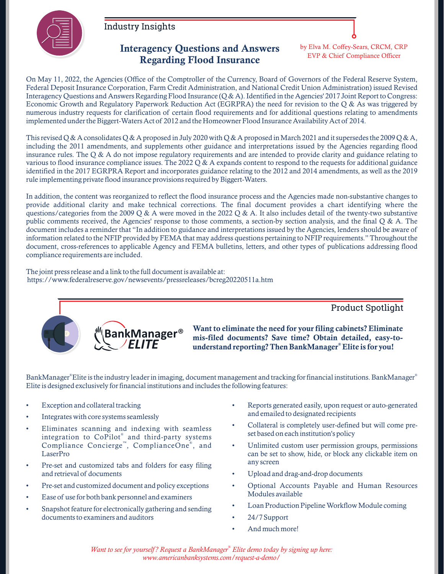<span id="page-1-0"></span>

[Industry Insights](#page-0-0)

#### Interagency Questions and Answers Regarding Flood Insurance

by Elva M. Coffey-Sears, CRCM, CRP EVP & Chief Compliance Officer

On May 11, 2022, the Agencies (Office of the Comptroller of the Currency, Board of Governors of the Federal Reserve System, Federal Deposit Insurance Corporation, Farm Credit Administration, and National Credit Union Administration) issued Revised Interagency Questions and Answers Regarding Flood Insurance (Q & A). Identified in the Agencies' 2017 Joint Report to Congress: Economic Growth and Regulatory Paperwork Reduction Act (EGRPRA) the need for revision to the Q & As was triggered by numerous industry requests for clarification of certain flood requirements and for additional questions relating to amendments implemented under the Biggert-Waters Act of 2012 and the Homeowner Flood Insurance Availability Act of 2014.

This revised Q & A consolidates Q & A proposed in July 2020 with Q & A proposed in March 2021 and it supersedes the 2009 Q & A, including the 2011 amendments, and supplements other guidance and interpretations issued by the Agencies regarding flood insurance rules. The  $Q \& A$  do not impose regulatory requirements and are intended to provide clarity and guidance relating to various to flood insurance compliance issues. The 2022  $\Diamond$  & A expands content to respond to the requests for additional guidance identified in the 2017 EGRPRA Report and incorporates guidance relating to the 2012 and 2014 amendments, as well as the 2019 rule implementing private flood insurance provisions required by Biggert-Waters.

In addition, the content was reorganized to reflect the flood insurance process and the Agencies made non-substantive changes to provide additional clarity and make technical corrections. The final document provides a chart identifying where the questions/categories from the 2009 Q & A were moved in the 2022 Q & A. It also includes detail of the twenty-two substantive public comments received, the Agencies' response to those comments, a section-by section analysis, and the final Q & A. The document includes a reminder that "In addition to guidance and interpretations issued by the Agencies, lenders should be aware of information related to the NFIP provided by FEMA that may address questions pertaining to NFIP requirements." Throughout the document, cross-references to applicable Agency and FEMA bulletins, letters, and other types of publications addressing flood compliance requirements are included.

The joint press release and a link to the full document is available at: https://www.federalreserve.gov/newsevents/pressreleases/bcreg20220511a.htm



Want to eliminate the need for your filing cabinets? Eliminate mis-filed documents? Save time? Obtain detailed, easy-to understand reporting? Then BankManager® Elite is for you!

BankManager®Elite is the industry leader in imaging, document management and tracking for financial institutions. BankManager® Elite is designed exclusively for financial institutions and includes the following features:

- Exception and collateral tracking
- Integrates with core systems seamlessly
- Eliminates scanning and indexing with seamless integration to CoPilot® and third-party systems Compliance Concierge<sup>"</sup>, ComplianceOne<sup>®</sup>, and LaserPro
- Pre-set and customized tabs and folders for easy filing and retrieval of documents
- Pre-set and customized document and policy exceptions
- Ease of use for both bank personnel and examiners
- Snapshot feature for electronically gathering and sending documents to examiners and auditors

• Reports generated easily, upon request or auto-generated and emailed to designated recipients

Product Spotlight

- Collateral is completely user-defined but will come preset based on each institution's policy
- Unlimited custom user permission groups, permissions can be set to show, hide, or block any clickable item on any screen
- Upload and drag-and-drop documents
- Optional Accounts Payable and Human Resources Modules available
- Loan Production Pipeline Workflow Module coming
- 24/7 Support
- And much more!

*® Want to see for yourself? Request a BankManager Elite demo today by signing up here: www.americanbanksystems.com/request-a-demo/*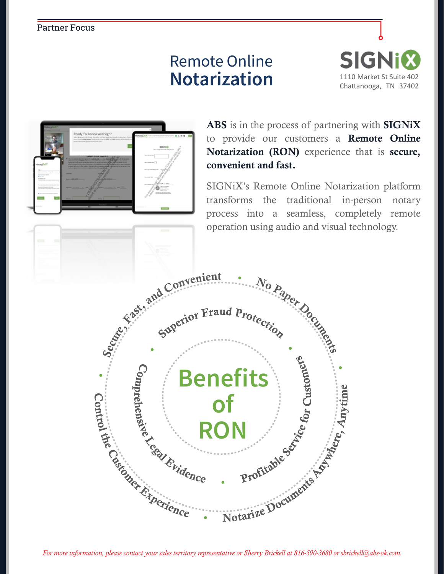#### <span id="page-2-0"></span>[Partner Focus](#page-0-0)

# Remote Online **Notarization**





ABS is in the process of partnering with SIGNIX to provide our customers a Remote Online Notarization (RON) experience that is secure, convenient and fast.

SIGNiX's Remote Online Notarization platform transforms the traditional in-person notary process into a seamless, completely remote operation using audio and visual technology.

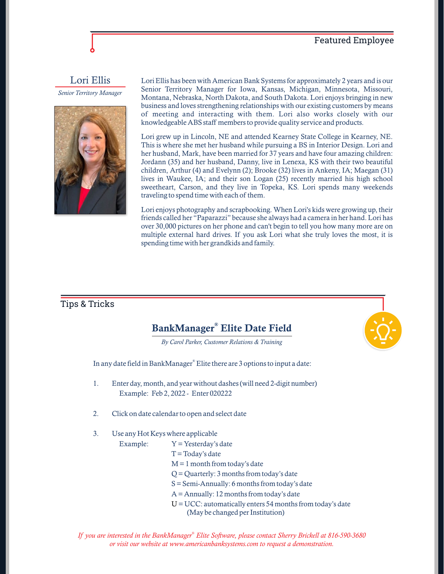#### [Featured Employee](#page-0-0)

<span id="page-3-0"></span>Lori Ellis

*Senior Territory Manager*



Lori Ellis has been with American Bank Systems for approximately 2 years and is our Senior Territory Manager for Iowa, Kansas, Michigan, Minnesota, Missouri, Montana, Nebraska, North Dakota, and South Dakota. Lori enjoys bringing in new business and loves strengthening relationships with our existing customers by means of meeting and interacting with them. Lori also works closely with our knowledgeable ABS staff members to provide quality service and products.

Lori grew up in Lincoln, NE and attended Kearney State College in Kearney, NE. This is where she met her husband while pursuing a BS in Interior Design. Lori and her husband, Mark, have been married for 37 years and have four amazing children: Jordann (35) and her husband, Danny, live in Lenexa, KS with their two beautiful children, Arthur (4) and Evelynn (2); Brooke (32) lives in Ankeny, IA; Maegan (31) lives in Waukee, IA; and their son Logan (25) recently married his high school sweetheart, Carson, and they live in Topeka, KS. Lori spends many weekends traveling to spend time with each of them.

Lori enjoys photography and scrapbooking. When Lori's kids were growing up, their friends called her "Paparazzi" because she always had a camera in her hand. Lori has over 30,000 pictures on her phone and can't begin to tell you how many more are on multiple external hard drives. If you ask Lori what she truly loves the most, it is spending time with her grandkids and family.

#### [Tips & Tricks](#page-0-0)

## BankManager® Elite Date Field

*By Carol Parker, Customer Relations & Training*

In any date field in BankManager® Elite there are 3 options to input a date:

- 1. Enter day, month, and year without dashes (will need 2-digit number) Example: Feb 2, 2022 - Enter 020222
- 2. Click on date calendar to open and select date
- 3. Use any Hot Keys where applicable
	- Example:  $Y = Y$ esterday's date
		- $T = \text{Todav's date}$
		- $M = 1$  month from today's date
		- Q = Quarterly: 3 months from today's date
		- S = Semi-Annually: 6 months from today's date
		- A = Annually: 12 months from today's date
		- $U = UCC$ : automatically enters 54 months from today's date (May be changed per Institution)

*® If you are interested in the BankManager Elite Software, please contact Sherry Brickell at 816-590-3680 or visit our website at www.americanbanksystems.com to request a demonstration.*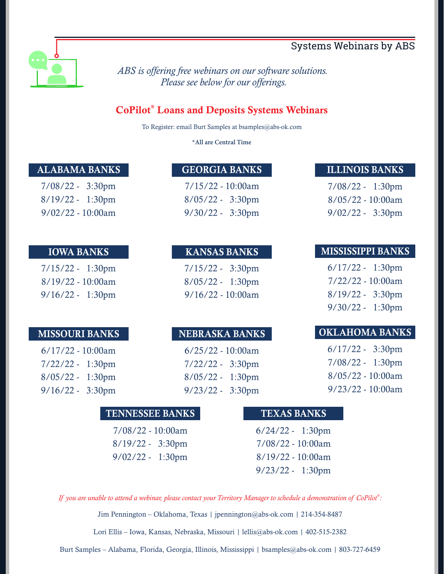### [Systems Webinars by ABS](#page-0-0)

<span id="page-4-0"></span>

*ABS is offering free webinars on our software solutions. Please see below for our offerings.*

### CoPilot® Loans and Deposits Systems Webinars

To Register: email Burt Samples at bsamples@abs-ok.com

**All are Central Time**

#### ALABAMA BANKS

7/08/22 - 3:30pm 8/19/22 - 1:30pm  $9/02/22 - 10:00am$ 

#### IOWA BANKS

7/15/22 - 1:30pm 8/19/22 - 10:00am 9/16/22 - 1:30pm

#### MISSOURI BANKS

6/17/22 - 10:00am 7/22/22 - 1:30pm 8/05/22 - 1:30pm 9/16/22 - 3:30pm

#### GEORGIA BANKS

7/15/22 - 10:00am 8/05/22 - 3:30pm 9/30/22 - 3:30pm

#### KANSAS BANKS

7/15/22 - 3:30pm 8/05/22 - 1:30pm 9/16/22 - 10:00am

#### NEBRASKA BANKS

6/25/22 - 10:00am 7/22/22 - 3:30pm 8/05/22 - 1:30pm 9/23/22 - 3:30pm

#### ILLINOIS BANKS

7/08/22 - 1:30pm 8/05/22 - 10:00am 9/02/22 - 3:30pm

#### MISSISSIPPI BANKS

6/17/22 - 1:30pm 7/22/22 - 10:00am 8/19/22 - 3:30pm 9/30/22 - 1:30pm

#### OKLAHOMA BANKS

6/17/22 - 3:30pm 7/08/22 - 1:30pm 8/05/22 - 10:00am 9/23/22 - 10:00am

#### TENNESSEE BANKS

7/08/22 - 10:00am 8/19/22 - 3:30pm 9/02/22 - 1:30pm

#### TEXAS BANKS

6/24/22 - 1:30pm 7/08/22 - 10:00am 8/19/22 - 10:00am 9/23/22 - 1:30pm

*® If you are unable to attend a webinar, please contact your Territory Manager to schedule a demonstration of CoPilot :*

Jim Pennington – Oklahoma, Texas | jpennington@abs-ok.com | 214-354-8487

Lori Ellis – Iowa, Kansas, Nebraska, Missouri | lellis@abs-ok.com | 402-515-2382

Burt Samples – Alabama, Florida, Georgia, Illinois, Mississippi | bsamples@abs-ok.com | 803-727-6459